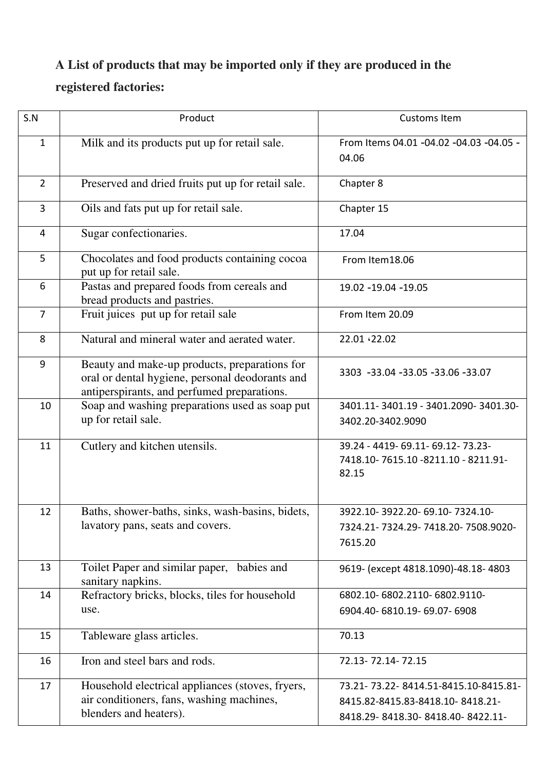## **A List of products that may be imported only if they are produced in the**

## **registered factories:**

| S.N            | Product                                                                                                                                         | <b>Customs Item</b>                                                                                          |
|----------------|-------------------------------------------------------------------------------------------------------------------------------------------------|--------------------------------------------------------------------------------------------------------------|
| $\mathbf{1}$   | Milk and its products put up for retail sale.                                                                                                   | From Items 04.01 -04.02 -04.03 -04.05 -<br>04.06                                                             |
| $\overline{2}$ | Preserved and dried fruits put up for retail sale.                                                                                              | Chapter 8                                                                                                    |
| 3              | Oils and fats put up for retail sale.                                                                                                           | Chapter 15                                                                                                   |
| 4              | Sugar confectionaries.                                                                                                                          | 17.04                                                                                                        |
| 5              | Chocolates and food products containing cocoa<br>put up for retail sale.                                                                        | From Item18.06                                                                                               |
| 6              | Pastas and prepared foods from cereals and<br>bread products and pastries.                                                                      | 19.02 -19.04 -19.05                                                                                          |
| $\overline{7}$ | Fruit juices put up for retail sale                                                                                                             | From Item 20.09                                                                                              |
| 8              | Natural and mineral water and aerated water.                                                                                                    | 22.01 .22.02                                                                                                 |
| 9              | Beauty and make-up products, preparations for<br>oral or dental hygiene, personal deodorants and<br>antiperspirants, and perfumed preparations. | 3303 -33.04 -33.05 -33.06 -33.07                                                                             |
| 10             | Soap and washing preparations used as soap put<br>up for retail sale.                                                                           | 3401.11-3401.19 - 3401.2090-3401.30-<br>3402.20-3402.9090                                                    |
| 11             | Cutlery and kitchen utensils.                                                                                                                   | 39.24 - 4419 - 69.11 - 69.12 - 73.23 -<br>7418.10-7615.10 -8211.10 - 8211.91-<br>82.15                       |
| 12             | Baths, shower-baths, sinks, wash-basins, bidets,<br>lavatory pans, seats and covers.                                                            | 3922.10-3922.20-69.10-7324.10-<br>7324.21-7324.29-7418.20-7508.9020-<br>7615.20                              |
| 13             | Toilet Paper and similar paper, babies and<br>sanitary napkins.                                                                                 | 9619- (except 4818.1090)-48.18-4803                                                                          |
| 14             | Refractory bricks, blocks, tiles for household<br>use.                                                                                          | 6802.10-6802.2110-6802.9110-<br>6904.40-6810.19-69.07-6908                                                   |
| 15             | Tableware glass articles.                                                                                                                       | 70.13                                                                                                        |
| 16             | Iron and steel bars and rods.                                                                                                                   | 72.13-72.14-72.15                                                                                            |
| 17             | Household electrical appliances (stoves, fryers,<br>air conditioners, fans, washing machines,<br>blenders and heaters).                         | 73.21-73.22-8414.51-8415.10-8415.81-<br>8415.82-8415.83-8418.10-8418.21-<br>8418.29-8418.30-8418.40-8422.11- |